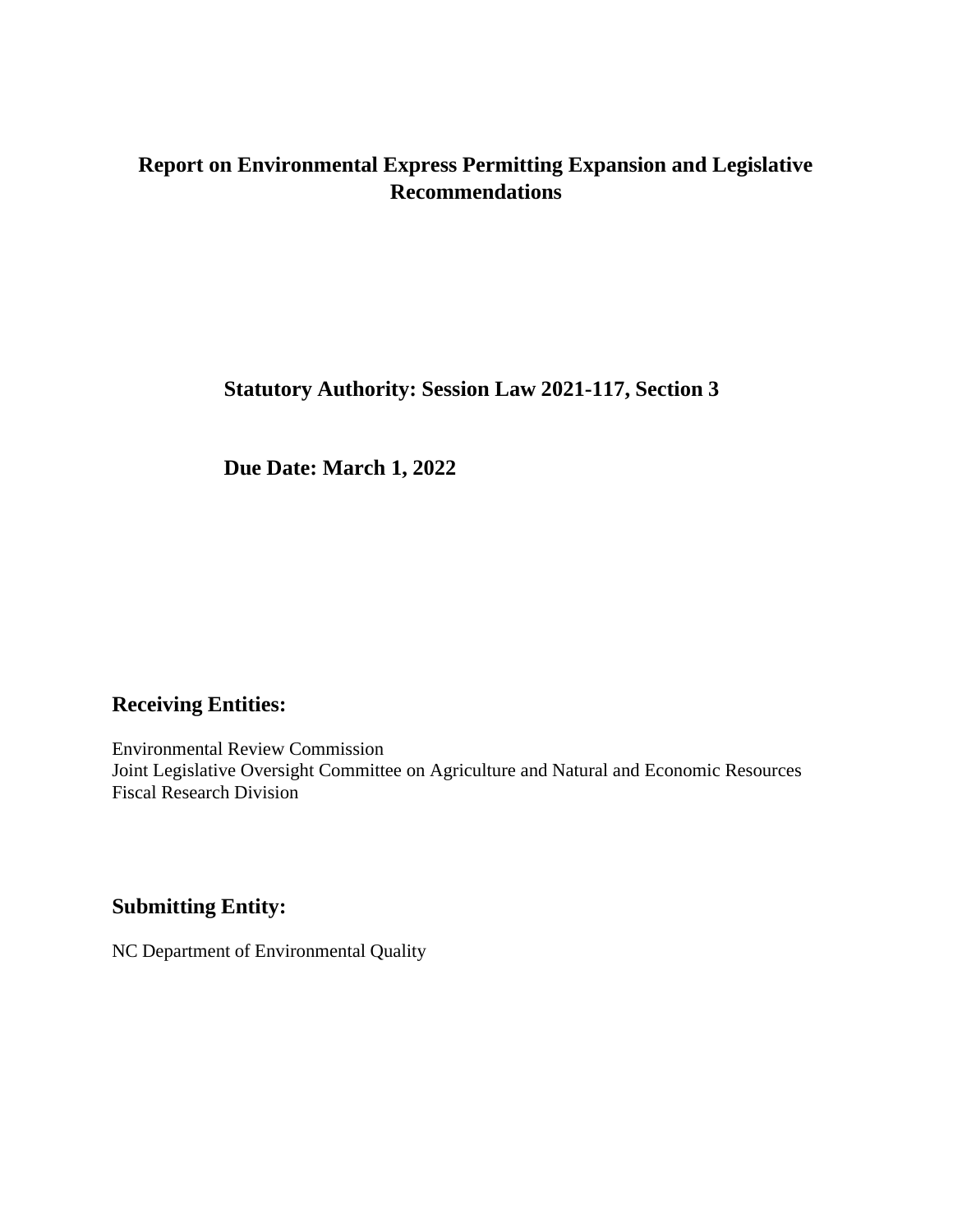# **Report on Environmental Express Permitting Expansion and Legislative Recommendations**

**Statutory Authority: Session Law 2021-117, Section 3**

**Due Date: March 1, 2022**

## **Receiving Entities:**

Environmental Review Commission Joint Legislative Oversight Committee on Agriculture and Natural and Economic Resources Fiscal Research Division

### **Submitting Entity:**

NC Department of Environmental Quality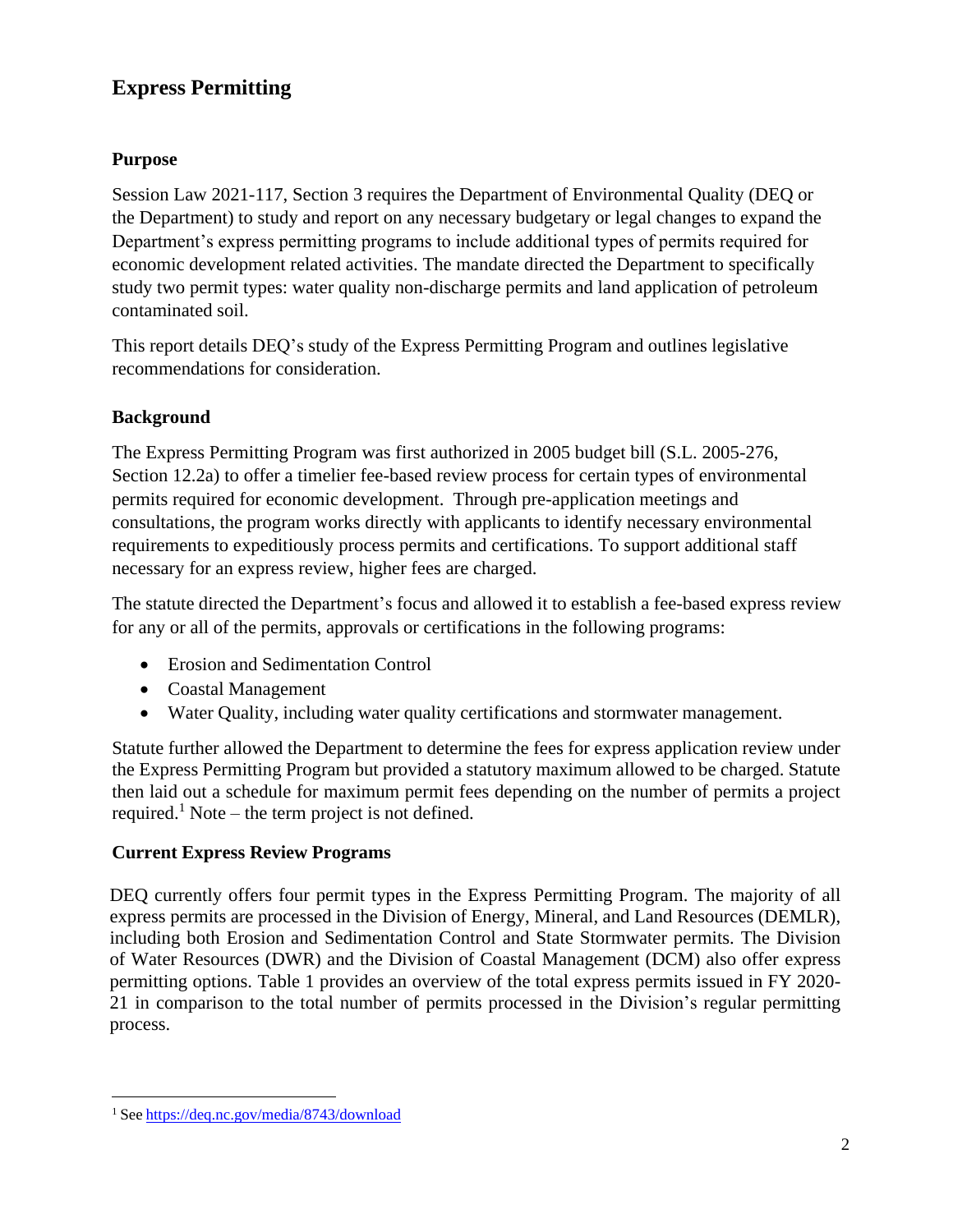# **Express Permitting**

### **Purpose**

Session Law 2021-117, Section 3 requires the Department of Environmental Quality (DEQ or the Department) to study and report on any necessary budgetary or legal changes to expand the Department's express permitting programs to include additional types of permits required for economic development related activities. The mandate directed the Department to specifically study two permit types: water quality non-discharge permits and land application of petroleum contaminated soil.

This report details DEQ's study of the Express Permitting Program and outlines legislative recommendations for consideration.

### **Background**

The Express Permitting Program was first authorized in 2005 budget bill (S.L. 2005-276, Section 12.2a) to offer a timelier fee-based review process for certain types of environmental permits required for economic development. Through pre-application meetings and consultations, the program works directly with applicants to identify necessary environmental requirements to expeditiously process permits and certifications. To support additional staff necessary for an express review, higher fees are charged.

The statute directed the Department's focus and allowed it to establish a fee-based express review for any or all of the permits, approvals or certifications in the following programs:

- Erosion and Sedimentation Control
- Coastal Management
- Water Quality, including water quality certifications and stormwater management.

Statute further allowed the Department to determine the fees for express application review under the Express Permitting Program but provided a statutory maximum allowed to be charged. Statute then laid out a schedule for maximum permit fees depending on the number of permits a project required.<sup>[1](#page-1-0)</sup> Note – the term project is not defined.

### **Current Express Review Programs**

DEQ currently offers four permit types in the Express Permitting Program. The majority of all express permits are processed in the Division of Energy, Mineral, and Land Resources (DEMLR), including both Erosion and Sedimentation Control and State Stormwater permits. The Division of Water Resources (DWR) and the Division of Coastal Management (DCM) also offer express permitting options. Table 1 provides an overview of the total express permits issued in FY 2020- 21 in comparison to the total number of permits processed in the Division's regular permitting process.

<span id="page-1-0"></span><sup>1</sup> See <https://deq.nc.gov/media/8743/download>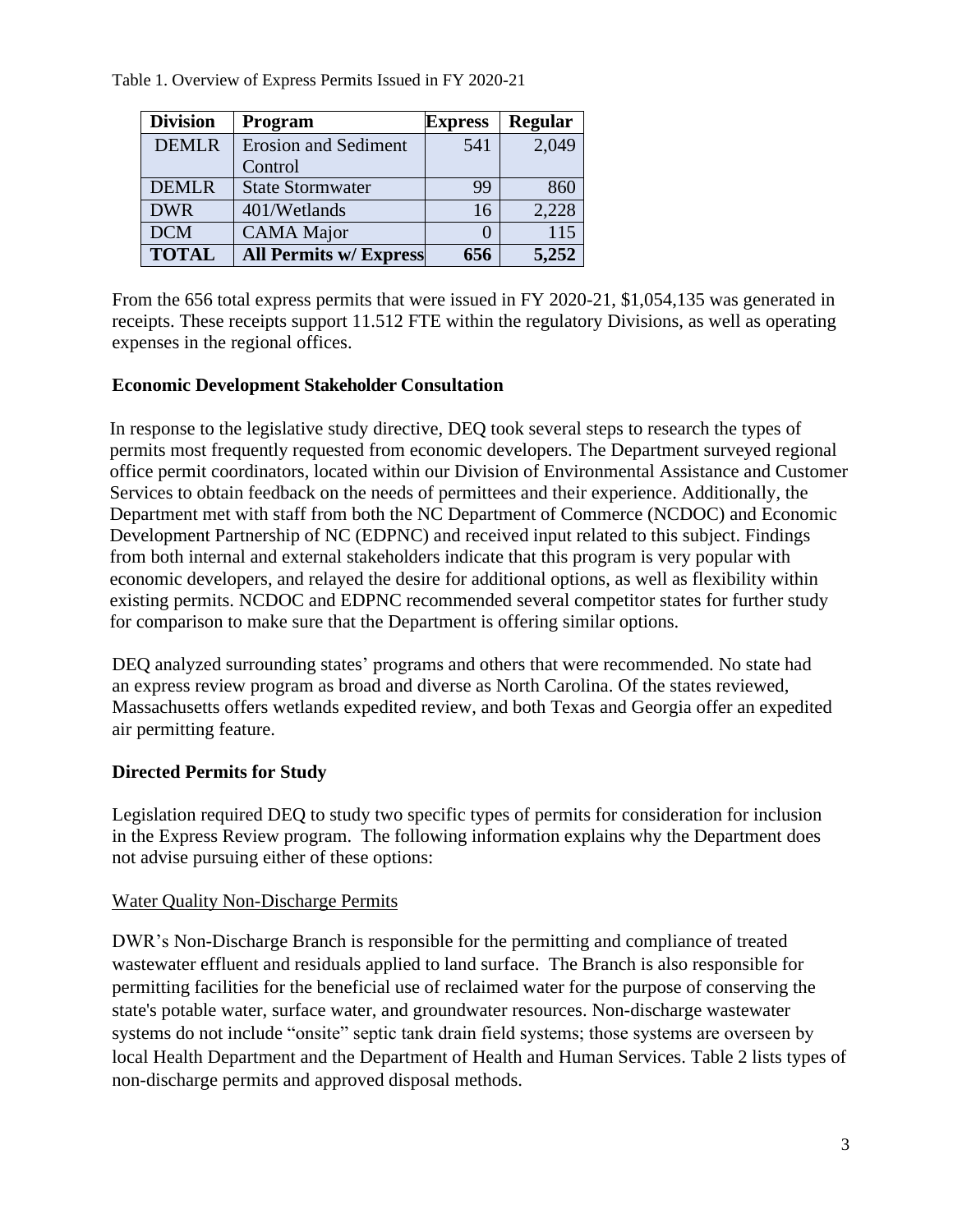Table 1. Overview of Express Permits Issued in FY 2020-21

| <b>Division</b> | Program                       | <b>Express</b> | <b>Regular</b> |
|-----------------|-------------------------------|----------------|----------------|
| <b>DEMLR</b>    | <b>Erosion and Sediment</b>   | 541            | 2,049          |
|                 | Control                       |                |                |
| <b>DEMLR</b>    | <b>State Stormwater</b>       | 99             | 860            |
| <b>DWR</b>      | 401/Wetlands                  | 16             | 2,228          |
| <b>DCM</b>      | <b>CAMA</b> Major             |                | 115            |
| <b>TOTAL</b>    | <b>All Permits w/ Express</b> | 656            | 5,252          |

From the 656 total express permits that were issued in FY 2020-21, \$1,054,135 was generated in receipts. These receipts support 11.512 FTE within the regulatory Divisions, as well as operating expenses in the regional offices.

### **Economic Development Stakeholder Consultation**

In response to the legislative study directive, DEQ took several steps to research the types of permits most frequently requested from economic developers. The Department surveyed regional office permit coordinators, located within our Division of Environmental Assistance and Customer Services to obtain feedback on the needs of permittees and their experience. Additionally, the Department met with staff from both the NC Department of Commerce (NCDOC) and Economic Development Partnership of NC (EDPNC) and received input related to this subject. Findings from both internal and external stakeholders indicate that this program is very popular with economic developers, and relayed the desire for additional options, as well as flexibility within existing permits. NCDOC and EDPNC recommended several competitor states for further study for comparison to make sure that the Department is offering similar options.

DEQ analyzed surrounding states' programs and others that were recommended. No state had an express review program as broad and diverse as North Carolina. Of the states reviewed, Massachusetts offers wetlands expedited review, and both Texas and Georgia offer an expedited air permitting feature.

### **Directed Permits for Study**

Legislation required DEQ to study two specific types of permits for consideration for inclusion in the Express Review program. The following information explains why the Department does not advise pursuing either of these options:

### Water Quality Non-Discharge Permits

DWR's Non-Discharge Branch is responsible for the permitting and compliance of treated wastewater effluent and residuals applied to land surface. The Branch is also responsible for permitting facilities for the beneficial use of reclaimed water for the purpose of conserving the state's potable water, surface water, and groundwater resources. Non-discharge wastewater systems do not include "onsite" septic tank drain field systems; those systems are overseen by local Health Department and the Department of Health and Human Services. Table 2 lists types of non-discharge permits and approved disposal methods.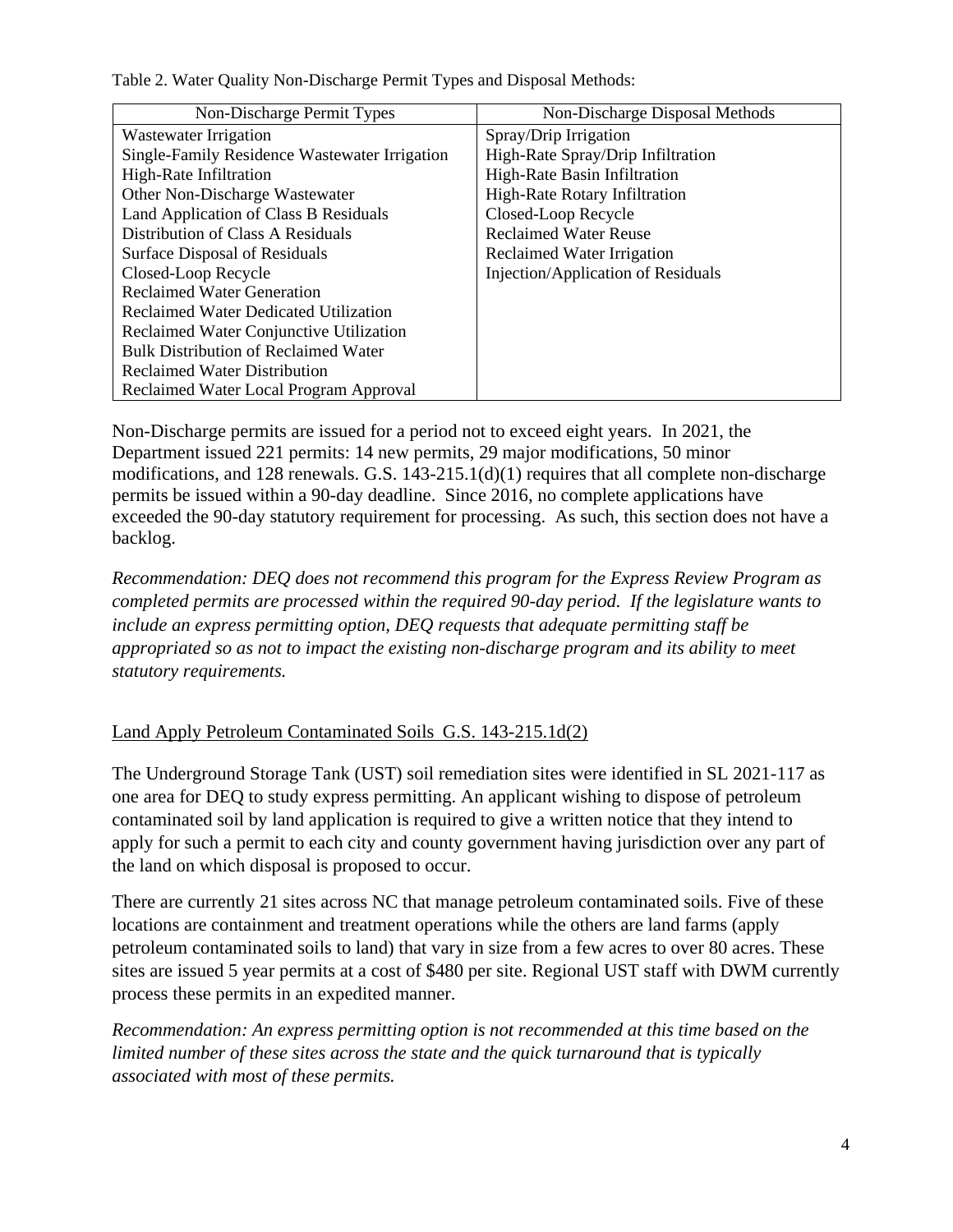| Non-Discharge Permit Types                    | Non-Discharge Disposal Methods       |  |
|-----------------------------------------------|--------------------------------------|--|
| Wastewater Irrigation                         | Spray/Drip Irrigation                |  |
| Single-Family Residence Wastewater Irrigation | High-Rate Spray/Drip Infiltration    |  |
| High-Rate Infiltration                        | High-Rate Basin Infiltration         |  |
| Other Non-Discharge Wastewater                | <b>High-Rate Rotary Infiltration</b> |  |
| Land Application of Class B Residuals         | Closed-Loop Recycle                  |  |
| Distribution of Class A Residuals             | <b>Reclaimed Water Reuse</b>         |  |
| Surface Disposal of Residuals                 | Reclaimed Water Irrigation           |  |
| Closed-Loop Recycle                           | Injection/Application of Residuals   |  |
| <b>Reclaimed Water Generation</b>             |                                      |  |
| <b>Reclaimed Water Dedicated Utilization</b>  |                                      |  |
| Reclaimed Water Conjunctive Utilization       |                                      |  |
| <b>Bulk Distribution of Reclaimed Water</b>   |                                      |  |
| <b>Reclaimed Water Distribution</b>           |                                      |  |
| Reclaimed Water Local Program Approval        |                                      |  |

Table 2. Water Quality Non-Discharge Permit Types and Disposal Methods:

Non-Discharge permits are issued for a period not to exceed eight years. In 2021, the Department issued 221 permits: 14 new permits, 29 major modifications, 50 minor modifications, and 128 renewals. G.S. 143-215.1(d)(1) requires that all complete non-discharge permits be issued within a 90-day deadline. Since 2016, no complete applications have exceeded the 90-day statutory requirement for processing. As such, this section does not have a backlog.

*Recommendation: DEQ does not recommend this program for the Express Review Program as completed permits are processed within the required 90-day period. If the legislature wants to include an express permitting option, DEQ requests that adequate permitting staff be appropriated so as not to impact the existing non-discharge program and its ability to meet statutory requirements.*

### Land Apply Petroleum Contaminated Soils G.S. 143-215.1d(2)

The Underground Storage Tank (UST) soil remediation sites were identified in SL 2021-117 as one area for DEQ to study express permitting. An applicant wishing to dispose of petroleum contaminated soil by land application is required to give a written notice that they intend to apply for such a permit to each city and county government having jurisdiction over any part of the land on which disposal is proposed to occur.

There are currently 21 sites across NC that manage petroleum contaminated soils. Five of these locations are containment and treatment operations while the others are land farms (apply petroleum contaminated soils to land) that vary in size from a few acres to over 80 acres. These sites are issued 5 year permits at a cost of \$480 per site. Regional UST staff with DWM currently process these permits in an expedited manner.

*Recommendation: An express permitting option is not recommended at this time based on the limited number of these sites across the state and the quick turnaround that is typically associated with most of these permits.*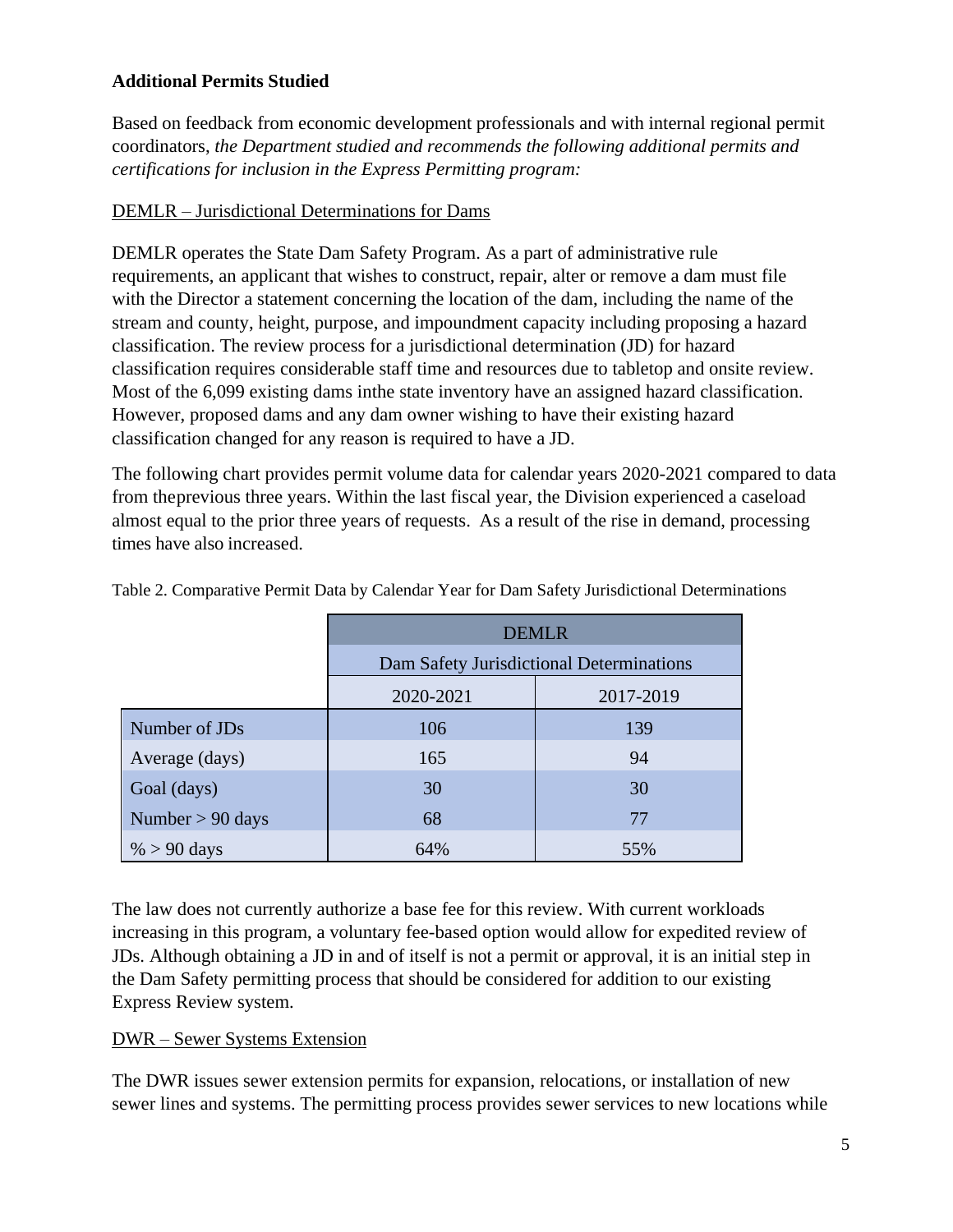### **Additional Permits Studied**

Based on feedback from economic development professionals and with internal regional permit coordinators, *the Department studied and recommends the following additional permits and certifications for inclusion in the Express Permitting program:*

### DEMLR – Jurisdictional Determinations for Dams

DEMLR operates the State Dam Safety Program. As a part of administrative rule requirements, an applicant that wishes to construct, repair, alter or remove a dam must file with the Director a statement concerning the location of the dam, including the name of the stream and county, height, purpose, and impoundment capacity including proposing a hazard classification. The review process for a jurisdictional determination (JD) for hazard classification requires considerable staff time and resources due to tabletop and onsite review. Most of the 6,099 existing dams inthe state inventory have an assigned hazard classification. However, proposed dams and any dam owner wishing to have their existing hazard classification changed for any reason is required to have a JD.

The following chart provides permit volume data for calendar years 2020-2021 compared to data from theprevious three years. Within the last fiscal year, the Division experienced a caseload almost equal to the prior three years of requests. As a result of the rise in demand, processing times have also increased.

|                    | <b>DEMLR</b>                             |           |  |
|--------------------|------------------------------------------|-----------|--|
|                    | Dam Safety Jurisdictional Determinations |           |  |
|                    | 2020-2021                                | 2017-2019 |  |
| Number of JDs      | 106                                      | 139       |  |
| Average (days)     | 165                                      | 94        |  |
| Goal (days)        | 30                                       | 30        |  |
| Number $> 90$ days | 68                                       | 77        |  |
| $\% > 90$ days     | 64%                                      | 55%       |  |

Table 2. Comparative Permit Data by Calendar Year for Dam Safety Jurisdictional Determinations

The law does not currently authorize a base fee for this review. With current workloads increasing in this program, a voluntary fee-based option would allow for expedited review of JDs. Although obtaining a JD in and of itself is not a permit or approval, it is an initial step in the Dam Safety permitting process that should be considered for addition to our existing Express Review system.

### DWR – Sewer Systems Extension

The DWR issues sewer extension permits for expansion, relocations, or installation of new sewer lines and systems. The permitting process provides sewer services to new locations while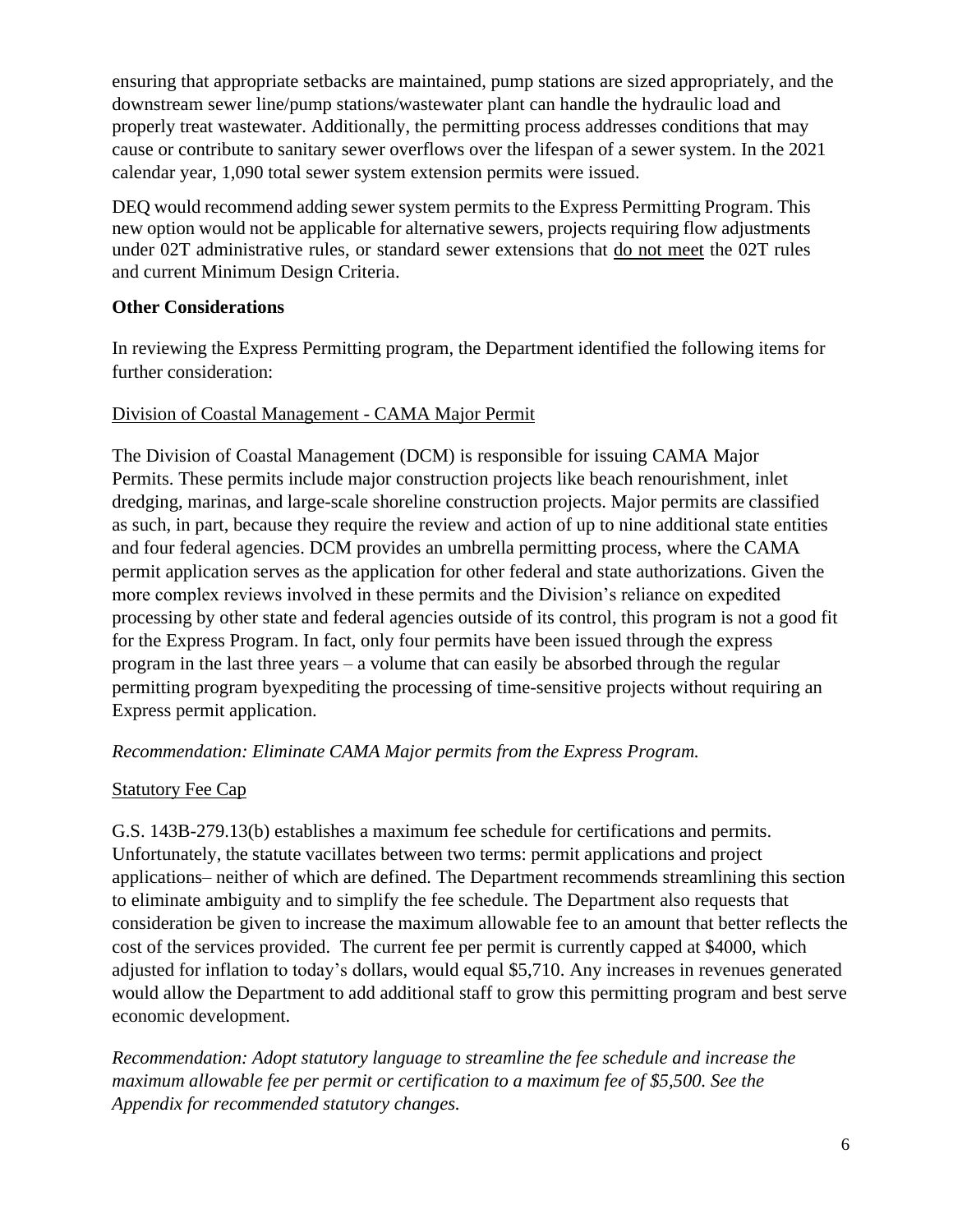ensuring that appropriate setbacks are maintained, pump stations are sized appropriately, and the downstream sewer line/pump stations/wastewater plant can handle the hydraulic load and properly treat wastewater. Additionally, the permitting process addresses conditions that may cause or contribute to sanitary sewer overflows over the lifespan of a sewer system. In the 2021 calendar year, 1,090 total sewer system extension permits were issued.

DEQ would recommend adding sewer system permits to the Express Permitting Program. This new option would not be applicable for alternative sewers, projects requiring flow adjustments under 02T administrative rules, or standard sewer extensions that do not meet the 02T rules and current Minimum Design Criteria.

### **Other Considerations**

In reviewing the Express Permitting program, the Department identified the following items for further consideration:

#### Division of Coastal Management - CAMA Major Permit

The Division of Coastal Management (DCM) is responsible for issuing CAMA Major Permits. These permits include major construction projects like beach renourishment, inlet dredging, marinas, and large-scale shoreline construction projects. Major permits are classified as such, in part, because they require the review and action of up to nine additional state entities and four federal agencies. DCM provides an umbrella permitting process, where the CAMA permit application serves as the application for other federal and state authorizations. Given the more complex reviews involved in these permits and the Division's reliance on expedited processing by other state and federal agencies outside of its control, this program is not a good fit for the Express Program. In fact, only four permits have been issued through the express program in the last three years – a volume that can easily be absorbed through the regular permitting program byexpediting the processing of time-sensitive projects without requiring an Express permit application.

### *Recommendation: Eliminate CAMA Major permits from the Express Program.*

#### **Statutory Fee Cap**

G.S. 143B-279.13(b) establishes a maximum fee schedule for certifications and permits. Unfortunately, the statute vacillates between two terms: permit applications and project applications– neither of which are defined. The Department recommends streamlining this section to eliminate ambiguity and to simplify the fee schedule. The Department also requests that consideration be given to increase the maximum allowable fee to an amount that better reflects the cost of the services provided. The current fee per permit is currently capped at \$4000, which adjusted for inflation to today's dollars, would equal \$5,710. Any increases in revenues generated would allow the Department to add additional staff to grow this permitting program and best serve economic development.

*Recommendation: Adopt statutory language to streamline the fee schedule and increase the maximum allowable fee per permit or certification to a maximum fee of \$5,500. See the Appendix for recommended statutory changes.*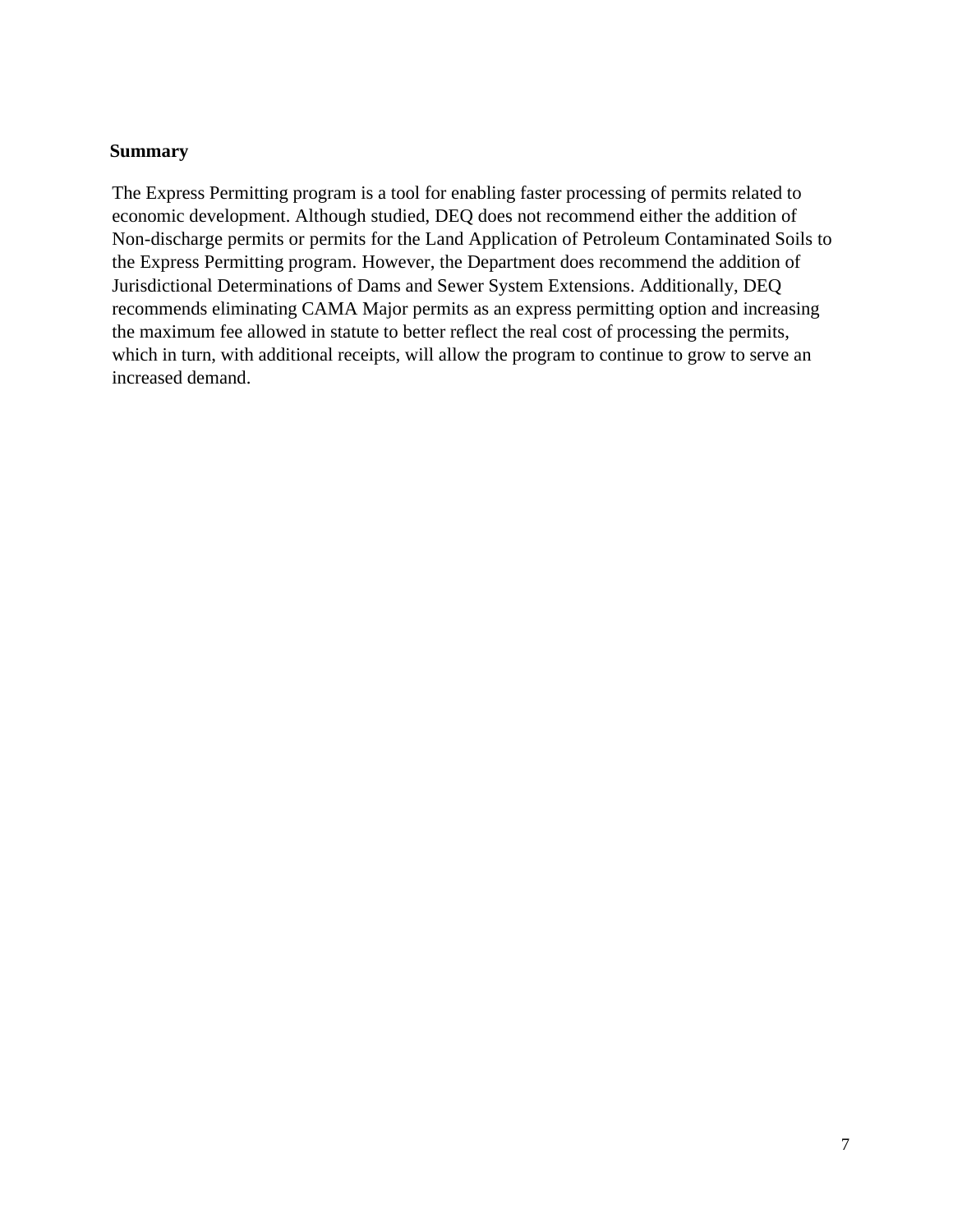#### **Summary**

The Express Permitting program is a tool for enabling faster processing of permits related to economic development. Although studied, DEQ does not recommend either the addition of Non-discharge permits or permits for the Land Application of Petroleum Contaminated Soils to the Express Permitting program. However, the Department does recommend the addition of Jurisdictional Determinations of Dams and Sewer System Extensions. Additionally, DEQ recommends eliminating CAMA Major permits as an express permitting option and increasing the maximum fee allowed in statute to better reflect the real cost of processing the permits, which in turn, with additional receipts, will allow the program to continue to grow to serve an increased demand.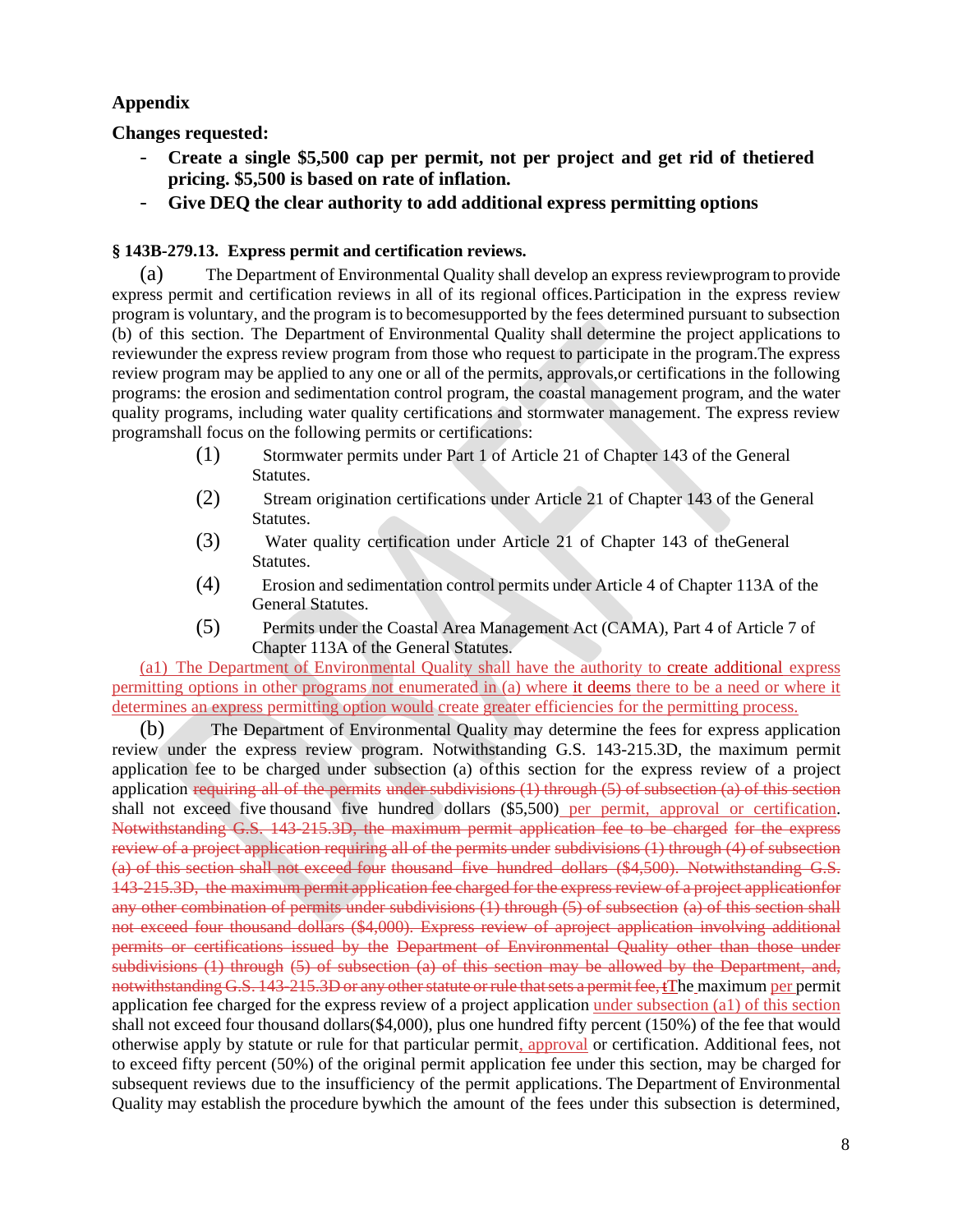### **Appendix**

**Changes requested:**

- **Create a single \$5,500 cap per permit, not per project and get rid of thetiered pricing. \$5,500 is based on rate of inflation.**
- **Give DEQ the clear authority to add additional express permitting options**

#### **§ 143B-279.13. Express permit and certification reviews.**

(a) The Department of Environmental Quality shall develop an express reviewprogramto provide express permit and certification reviews in all of its regional offices.Participation in the express review program is voluntary, and the program is to becomesupported by the fees determined pursuant to subsection (b) of this section. The Department of Environmental Quality shall determine the project applications to reviewunder the express review program from those who request to participate in the program.The express review program may be applied to any one or all of the permits, approvals,or certifications in the following programs: the erosion and sedimentation control program, the coastal management program, and the water quality programs, including water quality certifications and stormwater management. The express review programshall focus on the following permits or certifications:

- (1) Stormwater permits under Part 1 of Article 21 of Chapter 143 of the General Statutes.
- (2) Stream origination certifications under Article 21 of Chapter 143 of the General Statutes.
- (3) Water quality certification under Article 21 of Chapter 143 of theGeneral Statutes.
- (4) Erosion and sedimentation control permits under Article 4 of Chapter 113A of the General Statutes.
- (5) Permits under the Coastal Area Management Act (CAMA), Part 4 of Article 7 of Chapter 113A of the General Statutes.

(a1) The Department of Environmental Quality shall have the authority to create additional express permitting options in other programs not enumerated in (a) where it deems there to be a need or where it determines an express permitting option would create greater efficiencies for the permitting process.

(b) The Department of Environmental Quality may determine the fees for express application review under the express review program. Notwithstanding G.S. 143-215.3D, the maximum permit application fee to be charged under subsection (a) ofthis section for the express review of a project application requiring all of the permits under subdivisions  $(1)$  through  $(5)$  of subsection  $(a)$  of this section shall not exceed five thousand five hundred dollars (\$5,500) per permit, approval or certification. Notwithstanding G.S. 143-215.3D, the maximum permit application fee to be charged for the express review of a project application requiring all of the permits under subdivisions (1) through (4) of subsection (a) of this section shall not exceed four thousand five hundred dollars (\$4,500). Notwithstanding G.S. 143-215.3D, the maximum permit application fee charged for the express review of a project applicationfor any other combination of permits under subdivisions (1) through (5) of subsection (a) of this section shall not exceed four thousand dollars (\$4,000). Express review of aproject application involving additional permits or certifications issued by the Department of Environmental Quality other than those under subdivisions (1) through (5) of subsection (a) of this section may be allowed by the Department, and, notwithstanding G.S. 143-215.3D or any otherstatute orrule thatsets a permitfee, tThe maximum per permit application fee charged for the express review of a project application under subsection (a1) of this section shall not exceed four thousand dollars(\$4,000), plus one hundred fifty percent (150%) of the fee that would otherwise apply by statute or rule for that particular permit, approval or certification. Additional fees, not to exceed fifty percent (50%) of the original permit application fee under this section, may be charged for subsequent reviews due to the insufficiency of the permit applications. The Department of Environmental Quality may establish the procedure bywhich the amount of the fees under this subsection is determined,